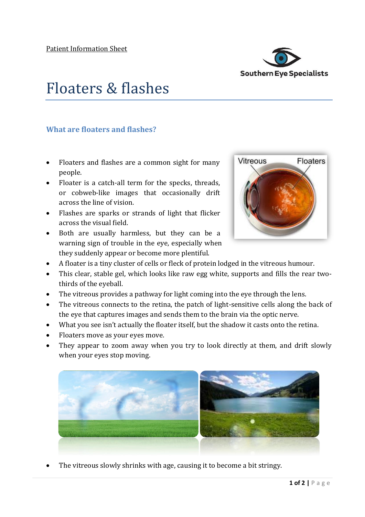

## Floaters & flashes

## **What are floaters and flashes?**

- Floaters and flashes are a common sight for many people.
- Floater is a catch-all term for the specks, threads, or cobweb-like images that occasionally drift across the line of vision.
- Flashes are sparks or strands of light that flicker across the visual field.
- Both are usually harmless, but they can be a warning sign of trouble in the eye, especially when they suddenly appear or become more plentiful.



- A floater is a tiny cluster of cells or fleck of protein lodged in the vitreous humour.
- This clear, stable gel, which looks like raw egg white, supports and fills the rear twothirds of the eyeball.
- The vitreous provides a pathway for light coming into the eye through the lens.
- The vitreous connects to the retina, the patch of light-sensitive cells along the back of the eye that captures images and sends them to the brain via the optic nerve.
- What you see isn't actually the floater itself, but the shadow it casts onto the retina.
- Floaters move as your eyes move.
- They appear to zoom away when you try to look directly at them, and drift slowly when your eyes stop moving.



• The vitreous slowly shrinks with age, causing it to become a bit stringy.